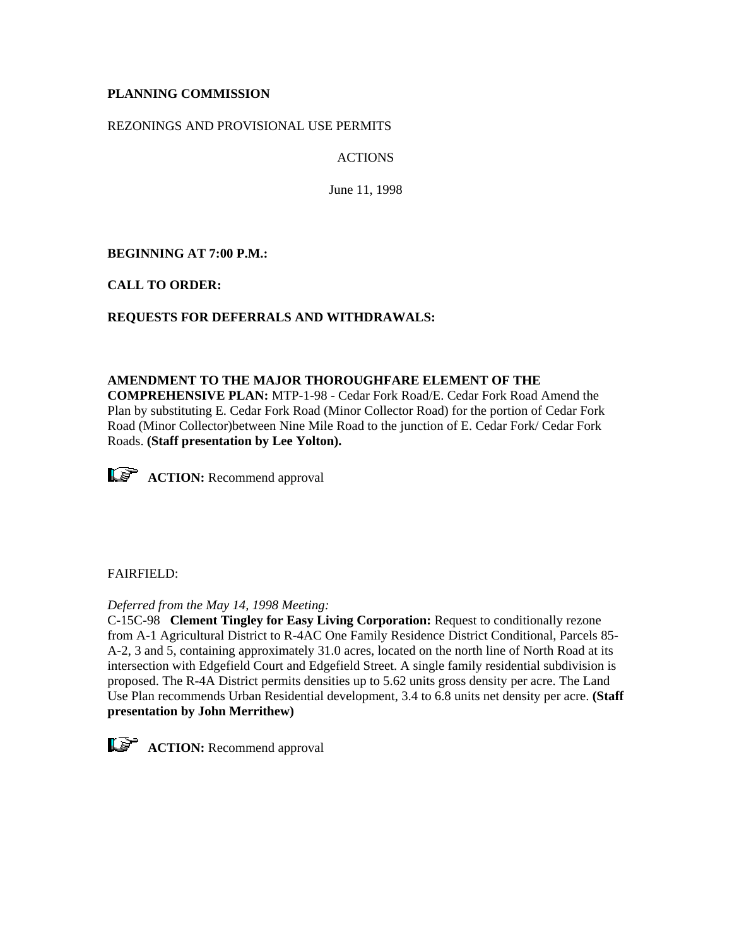## **PLANNING COMMISSION**

#### REZONINGS AND PROVISIONAL USE PERMITS

## ACTIONS

June 11, 1998

**BEGINNING AT 7:00 P.M.:**

**CALL TO ORDER:**

## **REQUESTS FOR DEFERRALS AND WITHDRAWALS:**

#### **AMENDMENT TO THE MAJOR THOROUGHFARE ELEMENT OF THE**

**COMPREHENSIVE PLAN:** MTP-1-98 - Cedar Fork Road/E. Cedar Fork Road Amend the Plan by substituting E. Cedar Fork Road (Minor Collector Road) for the portion of Cedar Fork Road (Minor Collector)between Nine Mile Road to the junction of E. Cedar Fork/ Cedar Fork Roads. **(Staff presentation by Lee Yolton).**



**ACTION:** Recommend approval

# FAIRFIELD:

#### *Deferred from the May 14, 1998 Meeting:*

C-15C-98 **Clement Tingley for Easy Living Corporation:** Request to conditionally rezone from A-1 Agricultural District to R-4AC One Family Residence District Conditional, Parcels 85- A-2, 3 and 5, containing approximately 31.0 acres, located on the north line of North Road at its intersection with Edgefield Court and Edgefield Street. A single family residential subdivision is proposed. The R-4A District permits densities up to 5.62 units gross density per acre. The Land Use Plan recommends Urban Residential development, 3.4 to 6.8 units net density per acre. **(Staff presentation by John Merrithew)** 



**ACTION:** Recommend approval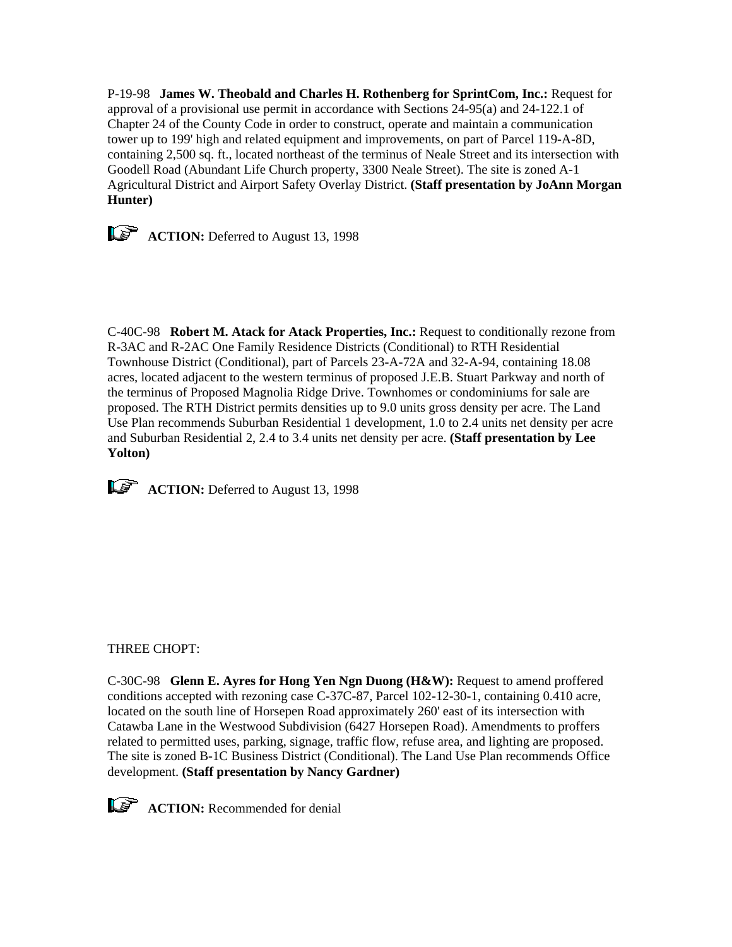P-19-98 **James W. Theobald and Charles H. Rothenberg for SprintCom, Inc.:** Request for approval of a provisional use permit in accordance with Sections 24-95(a) and 24-122.1 of Chapter 24 of the County Code in order to construct, operate and maintain a communication tower up to 199' high and related equipment and improvements, on part of Parcel 119-A-8D, containing 2,500 sq. ft., located northeast of the terminus of Neale Street and its intersection with Goodell Road (Abundant Life Church property, 3300 Neale Street). The site is zoned A-1 Agricultural District and Airport Safety Overlay District. **(Staff presentation by JoAnn Morgan Hunter)**



**ACTION:** Deferred to August 13, 1998

C-40C-98 **Robert M. Atack for Atack Properties, Inc.:** Request to conditionally rezone from R-3AC and R-2AC One Family Residence Districts (Conditional) to RTH Residential Townhouse District (Conditional), part of Parcels 23-A-72A and 32-A-94, containing 18.08 acres, located adjacent to the western terminus of proposed J.E.B. Stuart Parkway and north of the terminus of Proposed Magnolia Ridge Drive. Townhomes or condominiums for sale are proposed. The RTH District permits densities up to 9.0 units gross density per acre. The Land Use Plan recommends Suburban Residential 1 development, 1.0 to 2.4 units net density per acre and Suburban Residential 2, 2.4 to 3.4 units net density per acre. **(Staff presentation by Lee Yolton)**



#### THREE CHOPT:

C-30C-98 **Glenn E. Ayres for Hong Yen Ngn Duong (H&W):** Request to amend proffered conditions accepted with rezoning case C-37C-87, Parcel 102-12-30-1, containing 0.410 acre, located on the south line of Horsepen Road approximately 260' east of its intersection with Catawba Lane in the Westwood Subdivision (6427 Horsepen Road). Amendments to proffers related to permitted uses, parking, signage, traffic flow, refuse area, and lighting are proposed. The site is zoned B-1C Business District (Conditional). The Land Use Plan recommends Office development. **(Staff presentation by Nancy Gardner)**



**ACTION:** Recommended for denial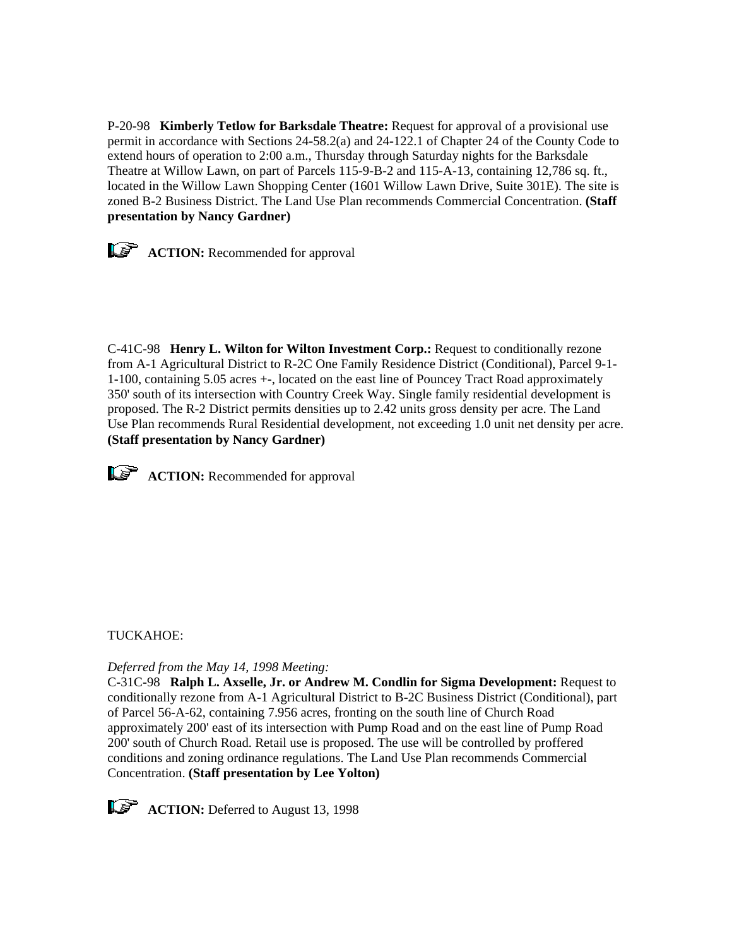P-20-98 **Kimberly Tetlow for Barksdale Theatre:** Request for approval of a provisional use permit in accordance with Sections 24-58.2(a) and 24-122.1 of Chapter 24 of the County Code to extend hours of operation to 2:00 a.m., Thursday through Saturday nights for the Barksdale Theatre at Willow Lawn, on part of Parcels 115-9-B-2 and 115-A-13, containing 12,786 sq. ft., located in the Willow Lawn Shopping Center (1601 Willow Lawn Drive, Suite 301E). The site is zoned B-2 Business District. The Land Use Plan recommends Commercial Concentration. **(Staff presentation by Nancy Gardner)** 



C-41C-98 **Henry L. Wilton for Wilton Investment Corp.:** Request to conditionally rezone from A-1 Agricultural District to R-2C One Family Residence District (Conditional), Parcel 9-1- 1-100, containing 5.05 acres +-, located on the east line of Pouncey Tract Road approximately 350' south of its intersection with Country Creek Way. Single family residential development is proposed. The R-2 District permits densities up to 2.42 units gross density per acre. The Land Use Plan recommends Rural Residential development, not exceeding 1.0 unit net density per acre. **(Staff presentation by Nancy Gardner)**



#### TUCKAHOE:

#### *Deferred from the May 14, 1998 Meeting:*

C-31C-98 **Ralph L. Axselle, Jr. or Andrew M. Condlin for Sigma Development:** Request to conditionally rezone from A-1 Agricultural District to B-2C Business District (Conditional), part of Parcel 56-A-62, containing 7.956 acres, fronting on the south line of Church Road approximately 200' east of its intersection with Pump Road and on the east line of Pump Road 200' south of Church Road. Retail use is proposed. The use will be controlled by proffered conditions and zoning ordinance regulations. The Land Use Plan recommends Commercial Concentration. **(Staff presentation by Lee Yolton)** 



**ACTION:** Deferred to August 13, 1998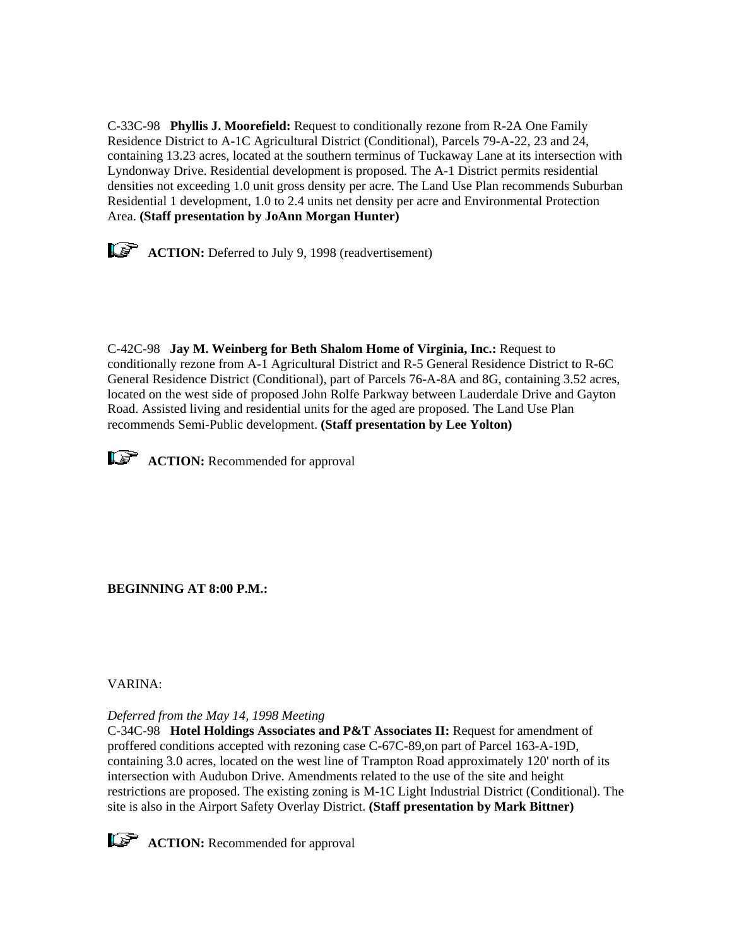C-33C-98 **Phyllis J. Moorefield:** Request to conditionally rezone from R-2A One Family Residence District to A-1C Agricultural District (Conditional), Parcels 79-A-22, 23 and 24, containing 13.23 acres, located at the southern terminus of Tuckaway Lane at its intersection with Lyndonway Drive. Residential development is proposed. The A-1 District permits residential densities not exceeding 1.0 unit gross density per acre. The Land Use Plan recommends Suburban Residential 1 development, 1.0 to 2.4 units net density per acre and Environmental Protection Area. **(Staff presentation by JoAnn Morgan Hunter)**



**ACTION:** Deferred to July 9, 1998 (readvertisement)

C-42C-98 **Jay M. Weinberg for Beth Shalom Home of Virginia, Inc.:** Request to conditionally rezone from A-1 Agricultural District and R-5 General Residence District to R-6C General Residence District (Conditional), part of Parcels 76-A-8A and 8G, containing 3.52 acres, located on the west side of proposed John Rolfe Parkway between Lauderdale Drive and Gayton Road. Assisted living and residential units for the aged are proposed. The Land Use Plan recommends Semi-Public development. **(Staff presentation by Lee Yolton)**



**ACTION:** Recommended for approval

**BEGINNING AT 8:00 P.M.:**

VARINA:

*Deferred from the May 14, 1998 Meeting*

C-34C-98 **Hotel Holdings Associates and P&T Associates II:** Request for amendment of proffered conditions accepted with rezoning case C-67C-89,on part of Parcel 163-A-19D, containing 3.0 acres, located on the west line of Trampton Road approximately 120' north of its intersection with Audubon Drive. Amendments related to the use of the site and height restrictions are proposed. The existing zoning is M-1C Light Industrial District (Conditional). The site is also in the Airport Safety Overlay District. **(Staff presentation by Mark Bittner)**

**ACTION:** Recommended for approval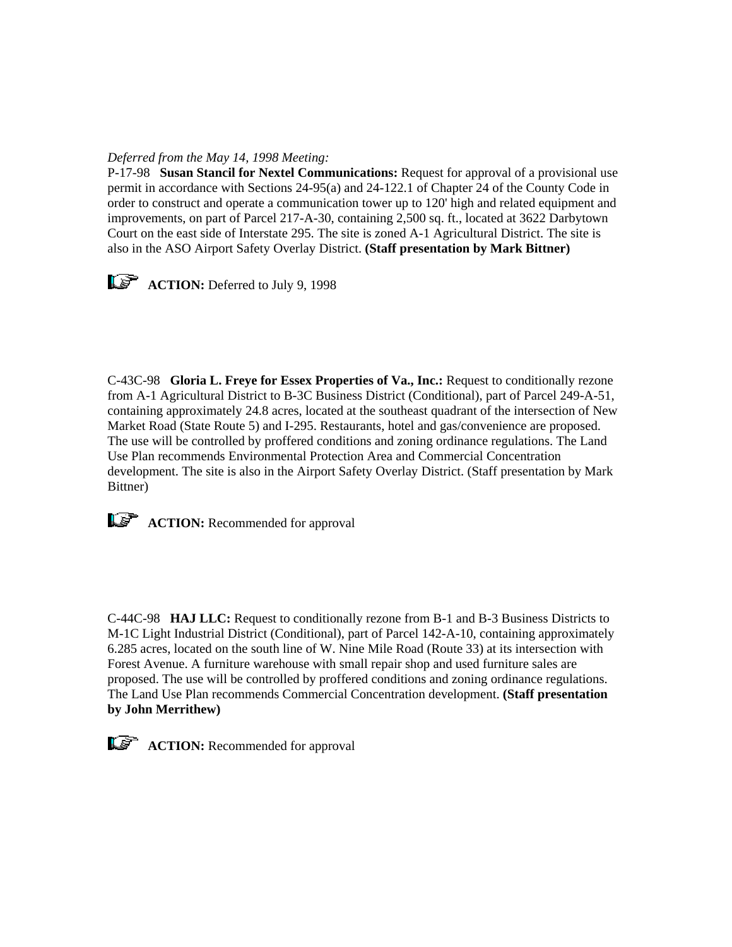## *Deferred from the May 14, 1998 Meeting:*

P-17-98 **Susan Stancil for Nextel Communications:** Request for approval of a provisional use permit in accordance with Sections 24-95(a) and 24-122.1 of Chapter 24 of the County Code in order to construct and operate a communication tower up to 120' high and related equipment and improvements, on part of Parcel 217-A-30, containing 2,500 sq. ft., located at 3622 Darbytown Court on the east side of Interstate 295. The site is zoned A-1 Agricultural District. The site is also in the ASO Airport Safety Overlay District. **(Staff presentation by Mark Bittner)** 



**ACTION:** Deferred to July 9, 1998

C-43C-98 **Gloria L. Freye for Essex Properties of Va., Inc.:** Request to conditionally rezone from A-1 Agricultural District to B-3C Business District (Conditional), part of Parcel 249-A-51, containing approximately 24.8 acres, located at the southeast quadrant of the intersection of New Market Road (State Route 5) and I-295. Restaurants, hotel and gas/convenience are proposed. The use will be controlled by proffered conditions and zoning ordinance regulations. The Land Use Plan recommends Environmental Protection Area and Commercial Concentration development. The site is also in the Airport Safety Overlay District. (Staff presentation by Mark Bittner)



**ACTION:** Recommended for approval

C-44C-98 **HAJ LLC:** Request to conditionally rezone from B-1 and B-3 Business Districts to M-1C Light Industrial District (Conditional), part of Parcel 142-A-10, containing approximately 6.285 acres, located on the south line of W. Nine Mile Road (Route 33) at its intersection with Forest Avenue. A furniture warehouse with small repair shop and used furniture sales are proposed. The use will be controlled by proffered conditions and zoning ordinance regulations. The Land Use Plan recommends Commercial Concentration development. **(Staff presentation by John Merrithew)**